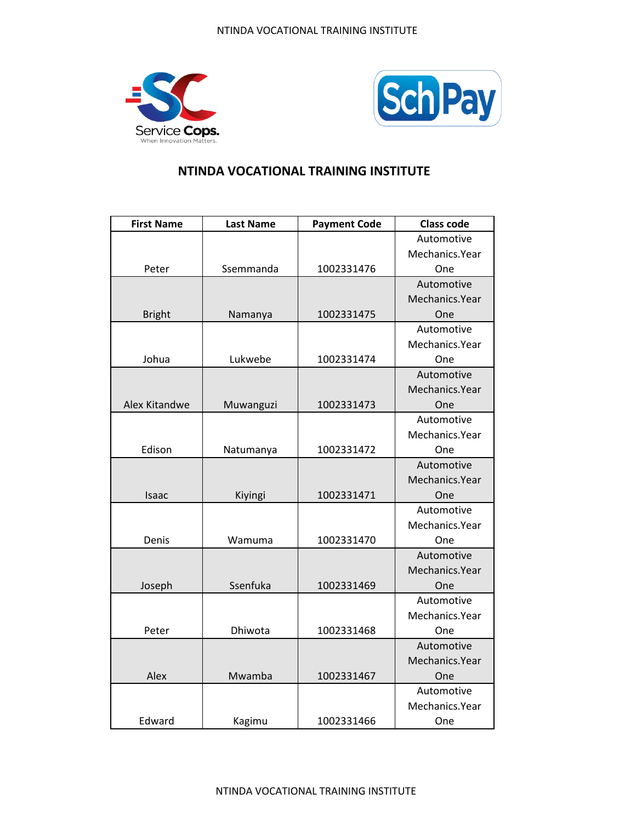



| <b>First Name</b> | <b>Last Name</b> | <b>Payment Code</b> | <b>Class code</b> |
|-------------------|------------------|---------------------|-------------------|
|                   |                  |                     | Automotive        |
|                   |                  |                     | Mechanics.Year    |
| Peter             | Ssemmanda        | 1002331476          | One               |
|                   |                  |                     | Automotive        |
|                   |                  |                     | Mechanics.Year    |
| <b>Bright</b>     | Namanya          | 1002331475          | One               |
|                   |                  |                     | Automotive        |
|                   |                  |                     | Mechanics.Year    |
| Johua             | Lukwebe          | 1002331474          | One               |
|                   |                  |                     | Automotive        |
|                   |                  |                     | Mechanics.Year    |
| Alex Kitandwe     | Muwanguzi        | 1002331473          | One               |
|                   |                  |                     | Automotive        |
|                   |                  |                     | Mechanics.Year    |
| Edison            | Natumanya        | 1002331472          | One               |
|                   |                  |                     | Automotive        |
|                   |                  |                     | Mechanics.Year    |
| Isaac             | Kiyingi          | 1002331471          | One               |
|                   |                  |                     | Automotive        |
|                   |                  |                     | Mechanics.Year    |
| Denis             | Wamuma           | 1002331470          | One               |
|                   |                  |                     | Automotive        |
|                   |                  |                     | Mechanics.Year    |
| Joseph            | Ssenfuka         | 1002331469          | One               |
|                   |                  |                     | Automotive        |
|                   |                  |                     | Mechanics.Year    |
| Peter             | Dhiwota          | 1002331468          | One               |
|                   |                  |                     | Automotive        |
|                   |                  |                     | Mechanics.Year    |
| Alex              | Mwamba           | 1002331467          | One               |
|                   |                  |                     | Automotive        |
|                   |                  |                     | Mechanics.Year    |
| Edward            | Kagimu           | 1002331466          | One               |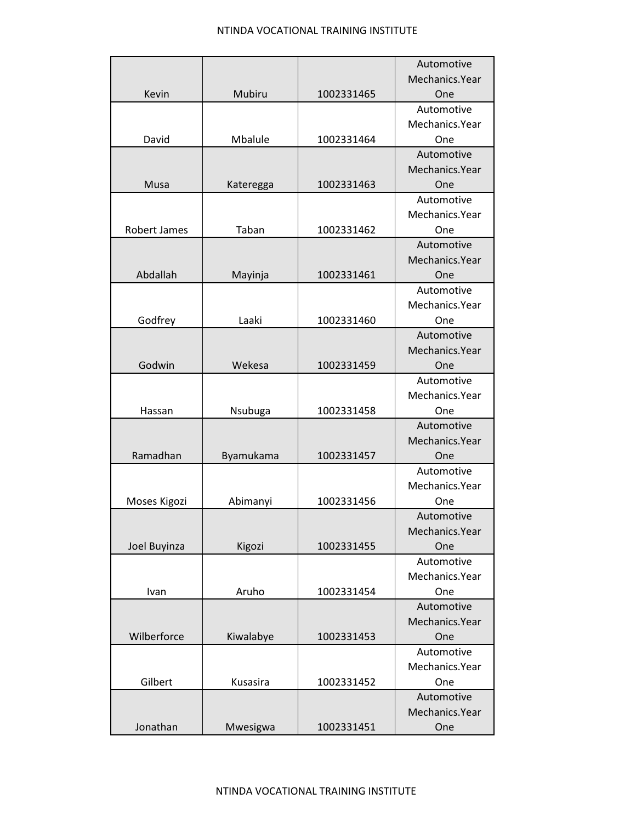|                     |           |            | Automotive     |
|---------------------|-----------|------------|----------------|
|                     |           |            | Mechanics.Year |
| Kevin               | Mubiru    | 1002331465 | One            |
|                     |           |            | Automotive     |
|                     |           |            | Mechanics.Year |
| David               | Mbalule   | 1002331464 | One            |
|                     |           |            | Automotive     |
|                     |           |            | Mechanics.Year |
| Musa                | Kateregga | 1002331463 | One            |
|                     |           |            | Automotive     |
|                     |           |            | Mechanics.Year |
| <b>Robert James</b> | Taban     | 1002331462 | One            |
|                     |           |            | Automotive     |
|                     |           |            | Mechanics.Year |
| Abdallah            | Mayinja   | 1002331461 | One            |
|                     |           |            | Automotive     |
|                     |           |            | Mechanics.Year |
| Godfrey             | Laaki     | 1002331460 | One            |
|                     |           |            | Automotive     |
|                     |           |            | Mechanics.Year |
| Godwin              | Wekesa    | 1002331459 | One            |
|                     |           |            | Automotive     |
|                     |           |            | Mechanics.Year |
| Hassan              | Nsubuga   | 1002331458 | One            |
|                     |           |            | Automotive     |
|                     |           |            | Mechanics.Year |
| Ramadhan            | Byamukama | 1002331457 | One            |
|                     |           |            | Automotive     |
|                     |           |            | Mechanics.Year |
| Moses Kigozi        | Abimanyi  | 1002331456 | One            |
|                     |           |            | Automotive     |
|                     |           |            | Mechanics.Year |
| Joel Buyinza        | Kigozi    | 1002331455 | One            |
|                     |           |            | Automotive     |
|                     |           |            | Mechanics.Year |
| Ivan                | Aruho     | 1002331454 | One            |
|                     |           |            | Automotive     |
|                     |           |            | Mechanics.Year |
| Wilberforce         | Kiwalabye | 1002331453 | One            |
|                     |           |            | Automotive     |
|                     |           |            | Mechanics.Year |
| Gilbert             | Kusasira  | 1002331452 | One            |
|                     |           |            | Automotive     |
|                     |           |            | Mechanics.Year |
| Jonathan            | Mwesigwa  | 1002331451 | One            |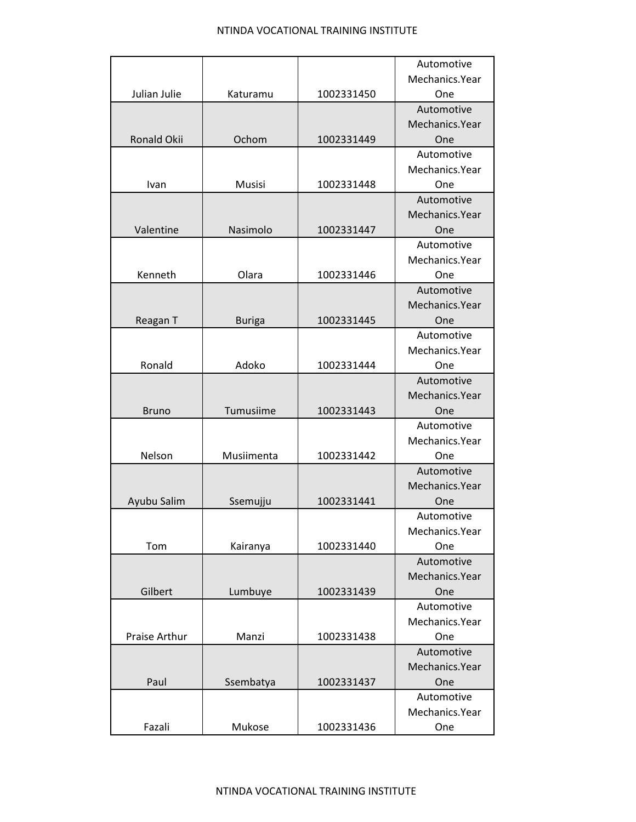|               |               |            | Automotive     |
|---------------|---------------|------------|----------------|
|               |               |            | Mechanics.Year |
| Julian Julie  | Katuramu      | 1002331450 | One            |
|               |               |            | Automotive     |
|               |               |            | Mechanics.Year |
| Ronald Okii   | Ochom         | 1002331449 | One            |
|               |               |            | Automotive     |
|               |               |            | Mechanics.Year |
| Ivan          | <b>Musisi</b> | 1002331448 | One            |
|               |               |            | Automotive     |
|               |               |            | Mechanics.Year |
| Valentine     | Nasimolo      | 1002331447 | One            |
|               |               |            | Automotive     |
|               |               |            | Mechanics.Year |
| Kenneth       | Olara         | 1002331446 | One            |
|               |               |            | Automotive     |
|               |               |            | Mechanics.Year |
| Reagan T      | <b>Buriga</b> | 1002331445 | One            |
|               |               |            | Automotive     |
|               |               |            | Mechanics.Year |
| Ronald        | Adoko         | 1002331444 | One            |
|               |               |            | Automotive     |
|               |               |            | Mechanics.Year |
| <b>Bruno</b>  | Tumusiime     | 1002331443 | One            |
|               |               |            | Automotive     |
|               |               |            | Mechanics.Year |
| Nelson        | Musiimenta    | 1002331442 | One            |
|               |               |            | Automotive     |
|               |               |            | Mechanics.Year |
| Ayubu Salim   | Ssemujju      | 1002331441 | One            |
|               |               |            | Automotive     |
|               |               |            | Mechanics.Year |
| Tom           | Kairanya      | 1002331440 | One            |
|               |               |            | Automotive     |
|               |               |            | Mechanics.Year |
| Gilbert       | Lumbuye       | 1002331439 | One            |
|               |               |            | Automotive     |
|               |               |            | Mechanics.Year |
| Praise Arthur | Manzi         | 1002331438 | One            |
|               |               |            | Automotive     |
|               |               |            | Mechanics.Year |
| Paul          | Ssembatya     | 1002331437 | One            |
|               |               |            | Automotive     |
|               |               |            | Mechanics.Year |
| Fazali        | Mukose        | 1002331436 | One            |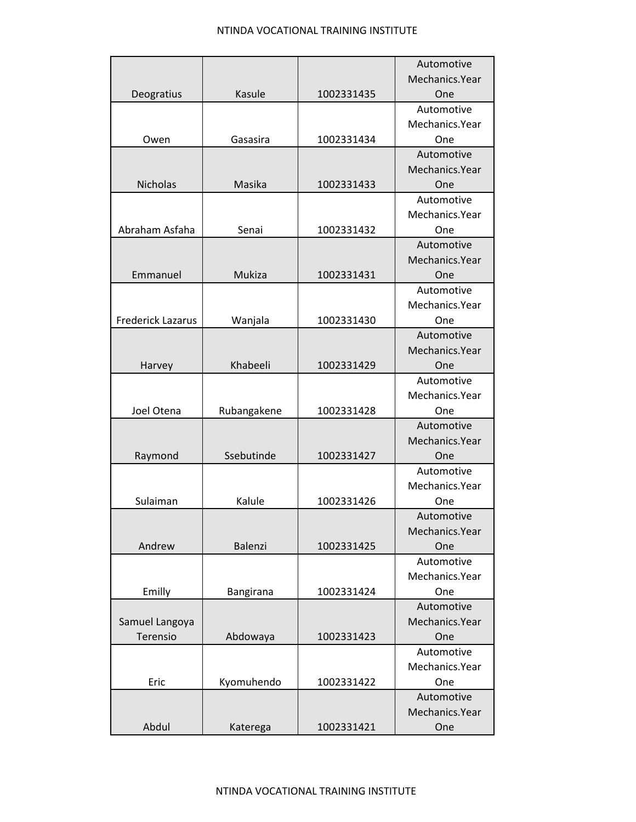|                          |             |            | Automotive     |
|--------------------------|-------------|------------|----------------|
|                          |             |            | Mechanics.Year |
| Deogratius               | Kasule      | 1002331435 | One            |
|                          |             |            | Automotive     |
|                          |             |            | Mechanics.Year |
| Owen                     | Gasasira    | 1002331434 | One            |
|                          |             |            | Automotive     |
|                          |             |            | Mechanics.Year |
| <b>Nicholas</b>          | Masika      | 1002331433 | One            |
|                          |             |            | Automotive     |
|                          |             |            | Mechanics.Year |
| Abraham Asfaha           | Senai       | 1002331432 | One            |
|                          |             |            | Automotive     |
|                          |             |            | Mechanics.Year |
| Emmanuel                 | Mukiza      | 1002331431 | One            |
|                          |             |            | Automotive     |
|                          |             |            | Mechanics.Year |
| <b>Frederick Lazarus</b> | Wanjala     | 1002331430 | One            |
|                          |             |            | Automotive     |
|                          |             |            | Mechanics.Year |
| Harvey                   | Khabeeli    | 1002331429 | One            |
|                          |             |            | Automotive     |
|                          |             |            | Mechanics.Year |
| Joel Otena               | Rubangakene | 1002331428 | One            |
|                          |             |            | Automotive     |
|                          |             |            | Mechanics.Year |
| Raymond                  | Ssebutinde  | 1002331427 | One            |
|                          |             |            | Automotive     |
|                          |             |            | Mechanics.Year |
| Sulaiman                 | Kalule      | 1002331426 | One            |
|                          |             |            | Automotive     |
|                          |             |            | Mechanics.Year |
| Andrew                   | Balenzi     | 1002331425 | One            |
|                          |             |            | Automotive     |
|                          |             |            | Mechanics.Year |
| Emilly                   | Bangirana   | 1002331424 | One            |
|                          |             |            | Automotive     |
| Samuel Langoya           |             |            | Mechanics.Year |
| Terensio                 | Abdowaya    | 1002331423 | One            |
|                          |             |            | Automotive     |
|                          |             |            | Mechanics.Year |
| Eric                     | Kyomuhendo  | 1002331422 | One            |
|                          |             |            | Automotive     |
|                          |             |            | Mechanics.Year |
| Abdul                    | Katerega    | 1002331421 | One            |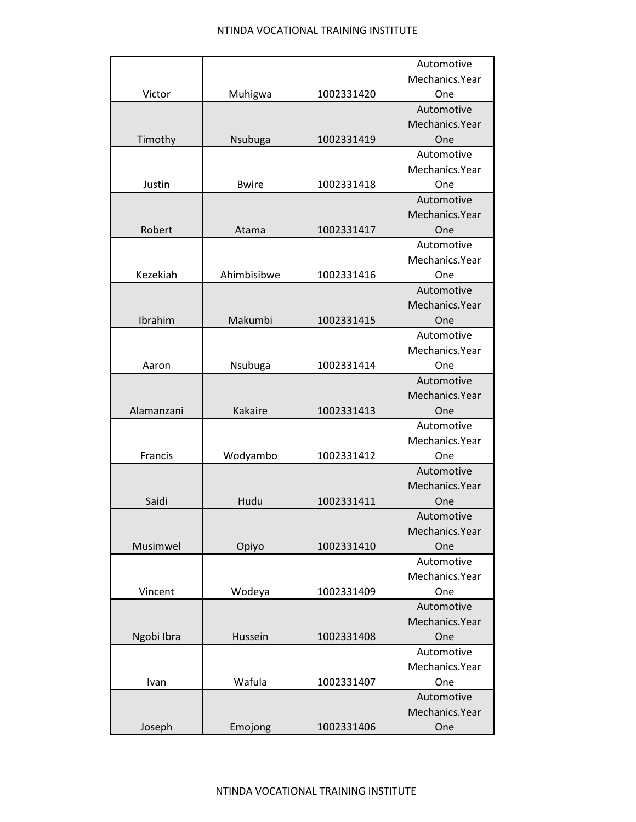|            |              |            | Automotive     |
|------------|--------------|------------|----------------|
|            |              |            | Mechanics.Year |
| Victor     | Muhigwa      | 1002331420 | One            |
|            |              |            | Automotive     |
|            |              |            | Mechanics.Year |
| Timothy    | Nsubuga      | 1002331419 | One            |
|            |              |            | Automotive     |
|            |              |            | Mechanics.Year |
| Justin     | <b>Bwire</b> | 1002331418 | One            |
|            |              |            | Automotive     |
|            |              |            | Mechanics.Year |
| Robert     | Atama        | 1002331417 | One            |
|            |              |            | Automotive     |
|            |              |            | Mechanics.Year |
| Kezekiah   | Ahimbisibwe  | 1002331416 | One            |
|            |              |            | Automotive     |
|            |              |            | Mechanics.Year |
| Ibrahim    | Makumbi      | 1002331415 | One            |
|            |              |            | Automotive     |
|            |              |            | Mechanics.Year |
| Aaron      | Nsubuga      | 1002331414 | One            |
|            |              |            | Automotive     |
|            |              |            | Mechanics.Year |
| Alamanzani | Kakaire      | 1002331413 | One            |
|            |              |            | Automotive     |
|            |              |            | Mechanics.Year |
| Francis    | Wodyambo     | 1002331412 | One            |
|            |              |            | Automotive     |
|            |              |            | Mechanics.Year |
| Saidi      | Hudu         | 1002331411 | One            |
|            |              |            | Automotive     |
|            |              |            | Mechanics.Year |
| Musimwel   | Opiyo        | 1002331410 | One            |
|            |              |            | Automotive     |
|            |              |            | Mechanics.Year |
| Vincent    | Wodeya       | 1002331409 | One            |
|            |              |            | Automotive     |
|            |              |            | Mechanics.Year |
| Ngobi Ibra | Hussein      | 1002331408 | One            |
|            |              |            | Automotive     |
|            |              |            | Mechanics.Year |
| Ivan       | Wafula       | 1002331407 | One            |
|            |              |            | Automotive     |
|            |              |            | Mechanics.Year |
| Joseph     | Emojong      | 1002331406 | One            |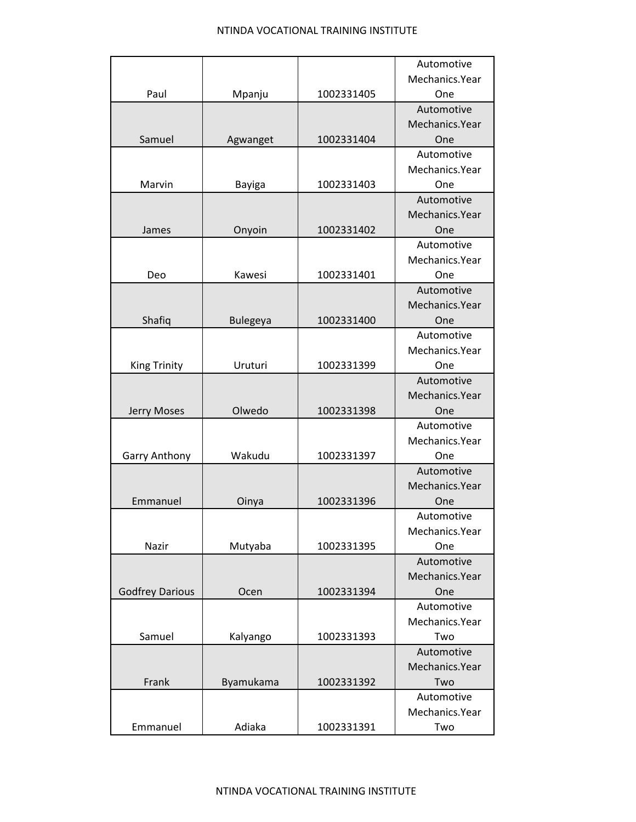|                        |                 |            | Automotive      |
|------------------------|-----------------|------------|-----------------|
|                        |                 |            | Mechanics.Year  |
| Paul                   | Mpanju          | 1002331405 | One             |
|                        |                 |            | Automotive      |
|                        |                 |            | Mechanics.Year  |
| Samuel                 | Agwanget        | 1002331404 | One             |
|                        |                 |            | Automotive      |
|                        |                 |            | Mechanics.Year  |
| Marvin                 | Bayiga          | 1002331403 | One             |
|                        |                 |            | Automotive      |
|                        |                 |            | Mechanics.Year  |
| James                  | Onyoin          | 1002331402 | One             |
|                        |                 |            | Automotive      |
|                        |                 |            | Mechanics.Year  |
| Deo                    | Kawesi          | 1002331401 | One             |
|                        |                 |            | Automotive      |
|                        |                 |            | Mechanics.Year  |
| Shafiq                 | <b>Bulegeya</b> | 1002331400 | One             |
|                        |                 |            | Automotive      |
|                        |                 |            | Mechanics.Year  |
| <b>King Trinity</b>    | Uruturi         | 1002331399 | One             |
|                        |                 |            | Automotive      |
|                        |                 |            | Mechanics.Year  |
| Jerry Moses            | Olwedo          | 1002331398 | One             |
|                        |                 |            | Automotive      |
|                        |                 |            | Mechanics.Year  |
| <b>Garry Anthony</b>   | Wakudu          | 1002331397 | One             |
|                        |                 |            | Automotive      |
|                        |                 |            | Mechanics. Year |
| Emmanuel               | Oinya           | 1002331396 | One             |
|                        |                 |            | Automotive      |
|                        |                 |            | Mechanics.Year  |
| Nazir                  | Mutyaba         | 1002331395 | One             |
|                        |                 |            | Automotive      |
|                        |                 |            | Mechanics.Year  |
| <b>Godfrey Darious</b> | Ocen            | 1002331394 | One             |
|                        |                 |            | Automotive      |
|                        |                 |            | Mechanics.Year  |
| Samuel                 | Kalyango        | 1002331393 | Two             |
|                        |                 |            | Automotive      |
|                        |                 |            | Mechanics.Year  |
| Frank                  | Byamukama       | 1002331392 | Two             |
|                        |                 |            | Automotive      |
|                        |                 |            | Mechanics.Year  |
| Emmanuel               | Adiaka          | 1002331391 | Two             |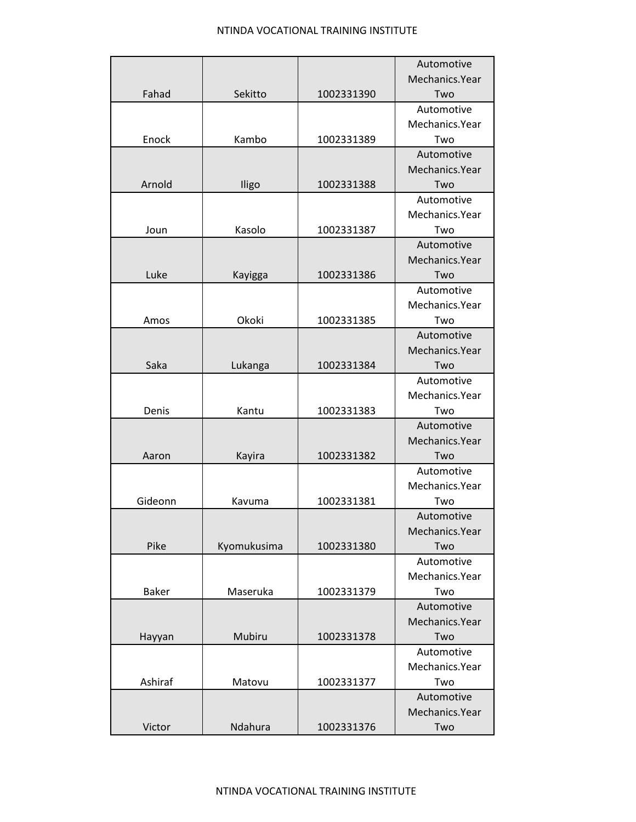|              |             |            | Automotive      |
|--------------|-------------|------------|-----------------|
|              |             |            | Mechanics.Year  |
| Fahad        | Sekitto     | 1002331390 | Two             |
|              |             |            | Automotive      |
|              |             |            | Mechanics.Year  |
| Enock        | Kambo       | 1002331389 | Two             |
|              |             |            | Automotive      |
|              |             |            | Mechanics. Year |
| Arnold       | Iligo       | 1002331388 | Two             |
|              |             |            | Automotive      |
|              |             |            | Mechanics.Year  |
| Joun         | Kasolo      | 1002331387 | Two             |
|              |             |            | Automotive      |
|              |             |            | Mechanics.Year  |
| Luke         | Kayigga     | 1002331386 | Two             |
|              |             |            | Automotive      |
|              |             |            | Mechanics.Year  |
| Amos         | Okoki       | 1002331385 | Two             |
|              |             |            | Automotive      |
|              |             |            | Mechanics.Year  |
| Saka         | Lukanga     | 1002331384 | Two             |
|              |             |            | Automotive      |
|              |             |            | Mechanics.Year  |
| Denis        | Kantu       | 1002331383 | Two             |
|              |             |            | Automotive      |
|              |             |            | Mechanics.Year  |
| Aaron        | Kayira      | 1002331382 | Two             |
|              |             |            | Automotive      |
|              |             |            | Mechanics.Year  |
| Gideonn      | Kavuma      | 1002331381 | Two             |
|              |             |            | Automotive      |
|              |             |            | Mechanics.Year  |
| Pike         | Kyomukusima | 1002331380 | Two             |
|              |             |            | Automotive      |
|              |             |            | Mechanics.Year  |
| <b>Baker</b> | Maseruka    | 1002331379 | Two             |
|              |             |            | Automotive      |
|              |             |            | Mechanics.Year  |
| Hayyan       | Mubiru      | 1002331378 | Two             |
|              |             |            | Automotive      |
|              |             |            | Mechanics.Year  |
| Ashiraf      | Matovu      | 1002331377 | Two             |
|              |             |            | Automotive      |
|              |             |            | Mechanics.Year  |
| Victor       | Ndahura     | 1002331376 | Two             |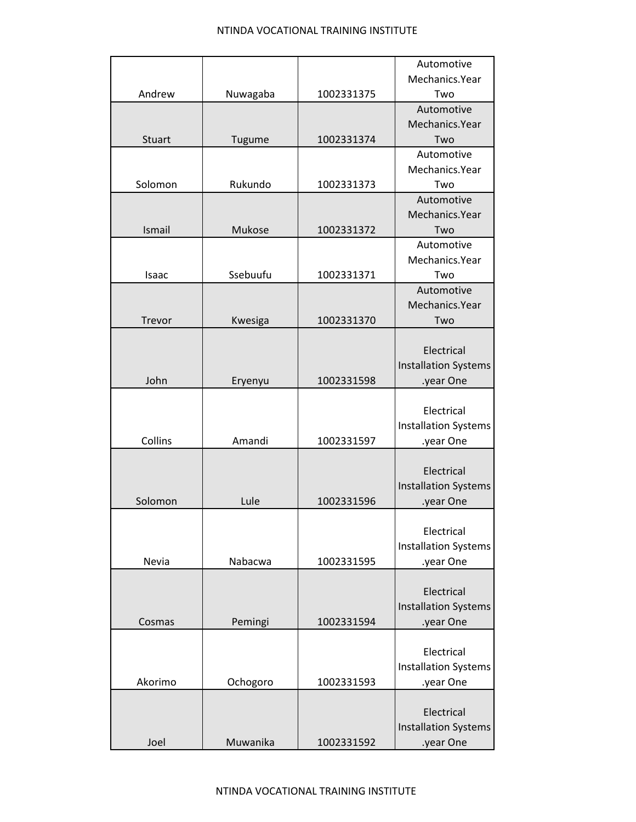|               |          |            | Automotive                  |
|---------------|----------|------------|-----------------------------|
|               |          |            | Mechanics.Year              |
| Andrew        | Nuwagaba | 1002331375 | Two                         |
|               |          |            | Automotive                  |
|               |          |            | Mechanics.Year              |
| <b>Stuart</b> | Tugume   | 1002331374 | Two                         |
|               |          |            | Automotive                  |
|               |          |            | Mechanics.Year              |
| Solomon       | Rukundo  | 1002331373 | Two                         |
|               |          |            | Automotive                  |
|               |          |            | Mechanics.Year              |
| Ismail        | Mukose   | 1002331372 | Two                         |
|               |          |            | Automotive                  |
|               |          |            | Mechanics.Year              |
| Isaac         | Ssebuufu | 1002331371 | Two                         |
|               |          |            | Automotive                  |
|               |          |            | Mechanics.Year              |
| Trevor        | Kwesiga  | 1002331370 | Two                         |
|               |          |            |                             |
|               |          |            | Electrical                  |
|               |          |            | <b>Installation Systems</b> |
| John          | Eryenyu  | 1002331598 | .year One                   |
|               |          |            |                             |
|               |          |            | Electrical                  |
|               |          |            | <b>Installation Systems</b> |
| Collins       | Amandi   | 1002331597 | .year One                   |
|               |          |            |                             |
|               |          |            | Electrical                  |
|               |          |            | <b>Installation Systems</b> |
| Solomon       | Lule     | 1002331596 | .year One                   |
|               |          |            |                             |
|               |          |            | Electrical                  |
|               |          |            | <b>Installation Systems</b> |
| Nevia         | Nabacwa  | 1002331595 | .year One                   |
|               |          |            |                             |
|               |          |            | Electrical                  |
|               |          |            | <b>Installation Systems</b> |
| Cosmas        | Pemingi  | 1002331594 | .year One                   |
|               |          |            |                             |
|               |          |            | Electrical                  |
|               |          |            | <b>Installation Systems</b> |
| Akorimo       | Ochogoro | 1002331593 | .year One                   |
|               |          |            |                             |
|               |          |            | Electrical                  |
|               |          |            | <b>Installation Systems</b> |
| Joel          | Muwanika | 1002331592 | .year One                   |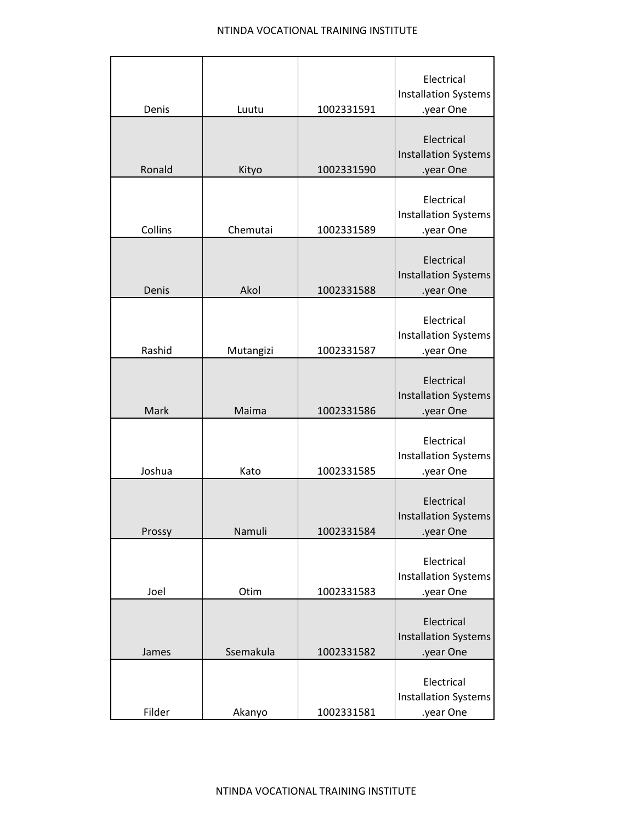| Denis   | Luutu     | 1002331591 | Electrical<br><b>Installation Systems</b><br>.year One |
|---------|-----------|------------|--------------------------------------------------------|
| Ronald  | Kityo     | 1002331590 | Electrical<br><b>Installation Systems</b><br>.year One |
| Collins | Chemutai  | 1002331589 | Electrical<br><b>Installation Systems</b><br>.year One |
| Denis   | Akol      | 1002331588 | Electrical<br><b>Installation Systems</b><br>.year One |
| Rashid  | Mutangizi | 1002331587 | Electrical<br><b>Installation Systems</b><br>.year One |
| Mark    | Maima     | 1002331586 | Electrical<br><b>Installation Systems</b><br>.year One |
| Joshua  | Kato      | 1002331585 | Electrical<br><b>Installation Systems</b><br>.year One |
| Prossy  | Namuli    | 1002331584 | Electrical<br>Installation Systems<br>.year One        |
| Joel    | Otim      | 1002331583 | Electrical<br><b>Installation Systems</b><br>.year One |
| James   | Ssemakula | 1002331582 | Electrical<br><b>Installation Systems</b><br>.year One |
| Filder  | Akanyo    | 1002331581 | Electrical<br><b>Installation Systems</b><br>.year One |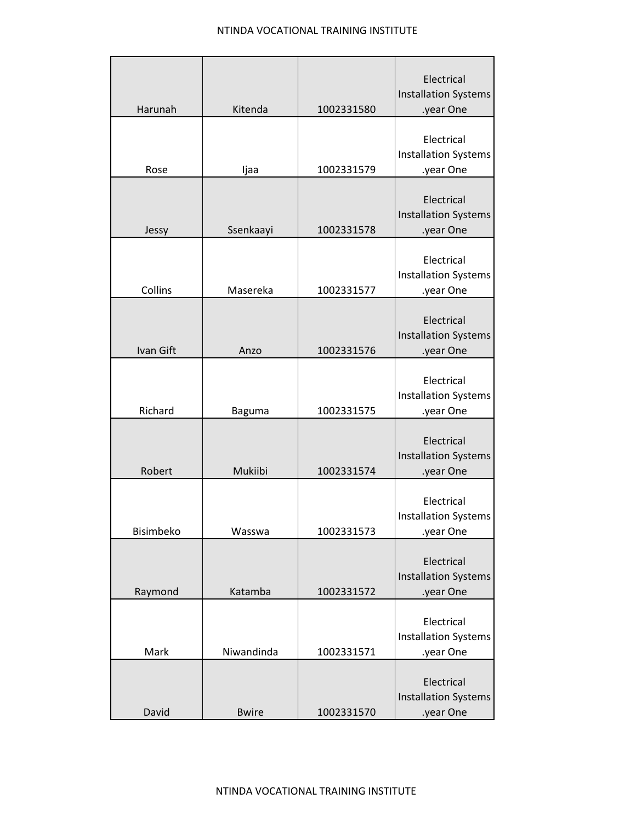| Harunah   | Kitenda      | 1002331580 | Electrical<br><b>Installation Systems</b><br>.year One |
|-----------|--------------|------------|--------------------------------------------------------|
| Rose      | Ijaa         | 1002331579 | Electrical<br><b>Installation Systems</b><br>.year One |
| Jessy     | Ssenkaayi    | 1002331578 | Electrical<br><b>Installation Systems</b><br>.year One |
| Collins   | Masereka     | 1002331577 | Electrical<br><b>Installation Systems</b><br>.year One |
| Ivan Gift | Anzo         | 1002331576 | Electrical<br><b>Installation Systems</b><br>.year One |
| Richard   | Baguma       | 1002331575 | Electrical<br><b>Installation Systems</b><br>.year One |
| Robert    | Mukiibi      | 1002331574 | Electrical<br><b>Installation Systems</b><br>.year One |
| Bisimbeko | Wasswa       | 1002331573 | Electrical<br><b>Installation Systems</b><br>.year One |
| Raymond   | Katamba      | 1002331572 | Electrical<br><b>Installation Systems</b><br>.year One |
| Mark      | Niwandinda   | 1002331571 | Electrical<br><b>Installation Systems</b><br>.year One |
| David     | <b>Bwire</b> | 1002331570 | Electrical<br><b>Installation Systems</b><br>.year One |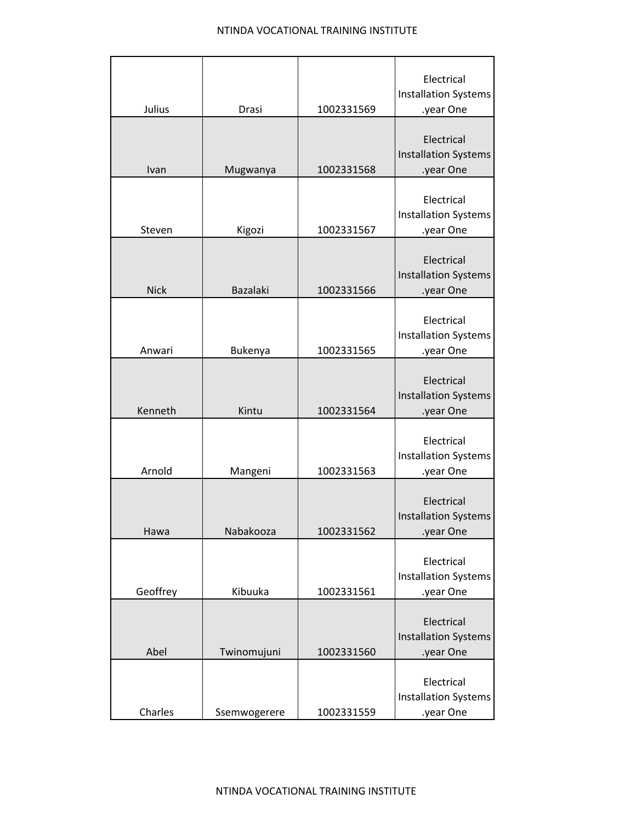| Julius      | Drasi           | 1002331569 | Electrical<br><b>Installation Systems</b><br>.year One |
|-------------|-----------------|------------|--------------------------------------------------------|
| Ivan        | Mugwanya        | 1002331568 | Electrical<br><b>Installation Systems</b><br>.year One |
| Steven      | Kigozi          | 1002331567 | Electrical<br><b>Installation Systems</b><br>.year One |
| <b>Nick</b> | <b>Bazalaki</b> | 1002331566 | Electrical<br><b>Installation Systems</b><br>.year One |
| Anwari      | Bukenya         | 1002331565 | Electrical<br><b>Installation Systems</b><br>.year One |
| Kenneth     | Kintu           | 1002331564 | Electrical<br><b>Installation Systems</b><br>.year One |
| Arnold      | Mangeni         | 1002331563 | Electrical<br><b>Installation Systems</b><br>.year One |
| Hawa        | Nabakooza       | 1002331562 | Electrical<br>Installation Systems<br>.year One        |
| Geoffrey    | Kibuuka         | 1002331561 | Electrical<br><b>Installation Systems</b><br>.year One |
| Abel        | Twinomujuni     | 1002331560 | Electrical<br><b>Installation Systems</b><br>.year One |
| Charles     | Ssemwogerere    | 1002331559 | Electrical<br><b>Installation Systems</b><br>.year One |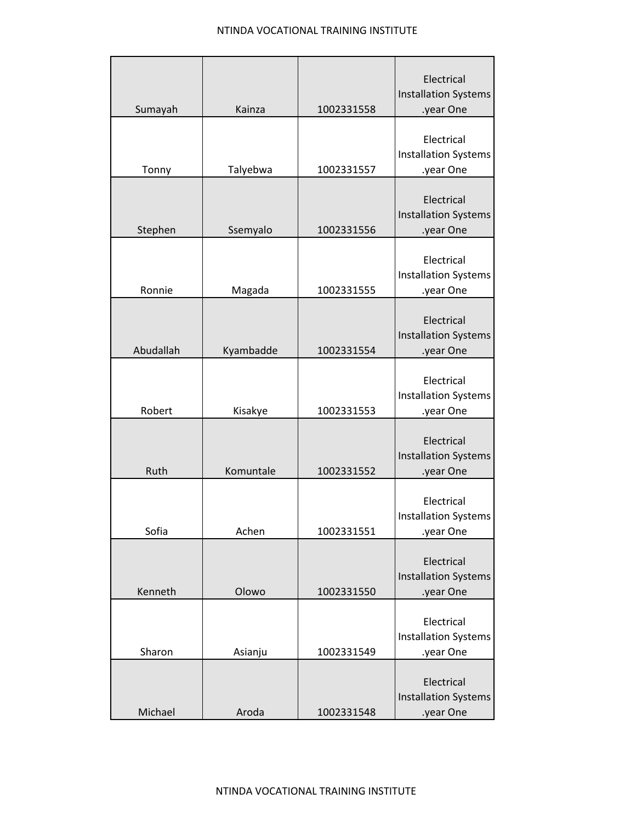| Sumayah   | Kainza    | 1002331558 | Electrical<br><b>Installation Systems</b><br>.year One |
|-----------|-----------|------------|--------------------------------------------------------|
|           |           |            |                                                        |
|           |           |            | Electrical<br><b>Installation Systems</b>              |
| Tonny     | Talyebwa  | 1002331557 | .year One                                              |
| Stephen   | Ssemyalo  | 1002331556 | Electrical<br><b>Installation Systems</b><br>.year One |
| Ronnie    | Magada    | 1002331555 | Electrical<br><b>Installation Systems</b><br>.year One |
| Abudallah | Kyambadde | 1002331554 | Electrical<br><b>Installation Systems</b><br>.year One |
|           |           |            |                                                        |
| Robert    | Kisakye   | 1002331553 | Electrical<br><b>Installation Systems</b><br>.year One |
| Ruth      | Komuntale | 1002331552 | Electrical<br><b>Installation Systems</b><br>.year One |
| Sofia     | Achen     | 1002331551 | Electrical<br><b>Installation Systems</b><br>.year One |
| Kenneth   | Olowo     | 1002331550 | Electrical<br><b>Installation Systems</b><br>.year One |
| Sharon    | Asianju   | 1002331549 | Electrical<br><b>Installation Systems</b><br>.year One |
| Michael   | Aroda     | 1002331548 | Electrical<br><b>Installation Systems</b><br>.year One |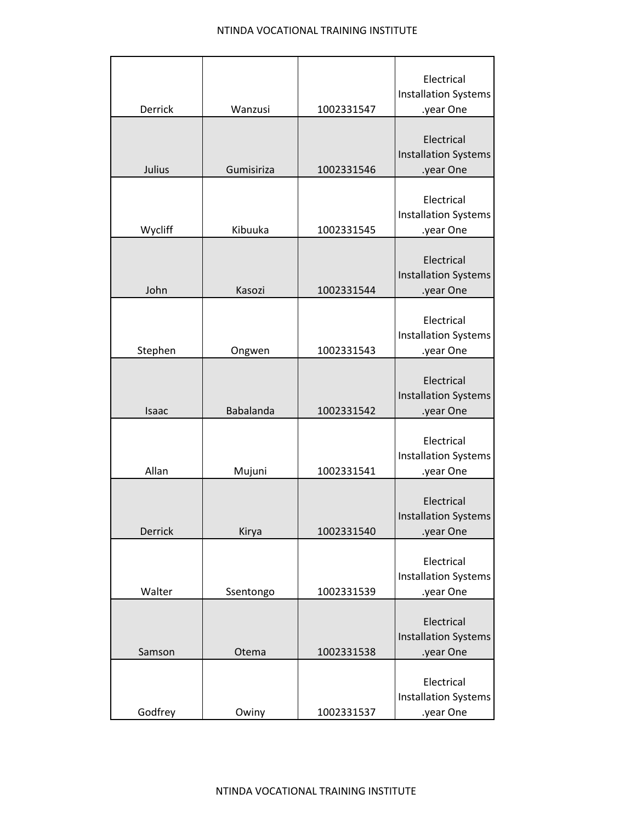|                |            |            | Electrical                                             |
|----------------|------------|------------|--------------------------------------------------------|
|                |            |            | <b>Installation Systems</b>                            |
| Derrick        | Wanzusi    | 1002331547 | .year One                                              |
| Julius         | Gumisiriza | 1002331546 | Electrical<br><b>Installation Systems</b><br>.year One |
|                |            |            |                                                        |
|                |            |            | Electrical                                             |
|                |            |            | <b>Installation Systems</b>                            |
| Wycliff        | Kibuuka    | 1002331545 | .year One                                              |
| John           | Kasozi     | 1002331544 | Electrical<br><b>Installation Systems</b><br>.year One |
| Stephen        | Ongwen     | 1002331543 | Electrical<br><b>Installation Systems</b><br>.year One |
|                |            |            |                                                        |
| Isaac          | Babalanda  | 1002331542 | Electrical<br><b>Installation Systems</b><br>.year One |
|                |            |            |                                                        |
|                |            |            | Electrical                                             |
| Allan          | Mujuni     | 1002331541 | <b>Installation Systems</b><br>.year One               |
|                |            |            |                                                        |
| <b>Derrick</b> | Kirya      | 1002331540 | Electrical<br>Installation Systems<br>.year One        |
|                |            |            |                                                        |
|                |            |            | Electrical                                             |
|                |            |            | <b>Installation Systems</b>                            |
| Walter         | Ssentongo  | 1002331539 | .year One                                              |
|                |            |            | Electrical                                             |
|                |            |            | <b>Installation Systems</b>                            |
| Samson         | Otema      | 1002331538 | .year One                                              |
|                |            |            |                                                        |
|                |            |            | Electrical                                             |
|                |            |            | <b>Installation Systems</b>                            |
| Godfrey        | Owiny      | 1002331537 | .year One                                              |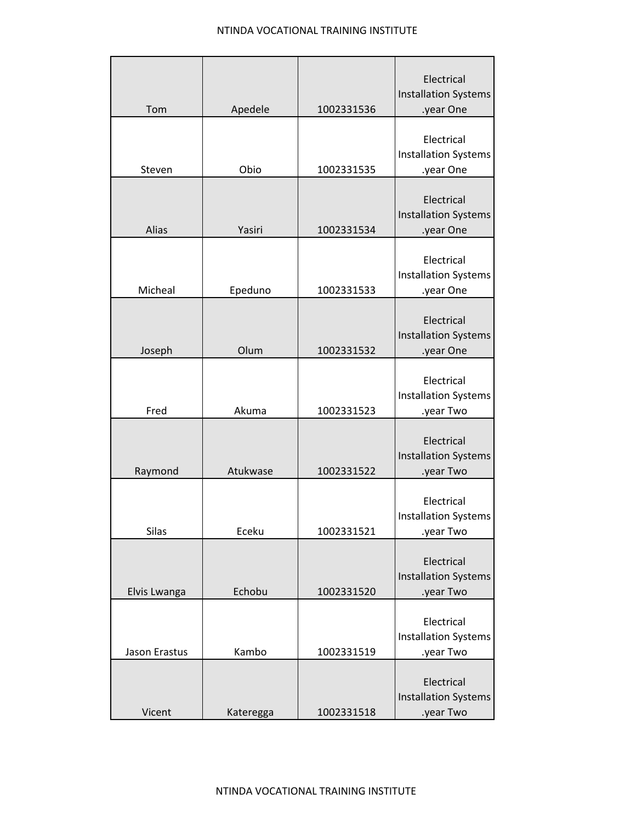| Tom           | Apedele   | 1002331536 | Electrical<br><b>Installation Systems</b><br>.year One |
|---------------|-----------|------------|--------------------------------------------------------|
| Steven        | Obio      | 1002331535 | Electrical<br><b>Installation Systems</b><br>.year One |
| Alias         | Yasiri    | 1002331534 | Electrical<br><b>Installation Systems</b><br>.year One |
| Micheal       | Epeduno   | 1002331533 | Electrical<br><b>Installation Systems</b><br>.year One |
| Joseph        | Olum      | 1002331532 | Electrical<br><b>Installation Systems</b><br>.year One |
| Fred          | Akuma     | 1002331523 | Electrical<br><b>Installation Systems</b><br>.year Two |
| Raymond       | Atukwase  | 1002331522 | Electrical<br><b>Installation Systems</b><br>.year Two |
| Silas         | Eceku     | 1002331521 | Electrical<br><b>Installation Systems</b><br>.year Two |
| Elvis Lwanga  | Echobu    | 1002331520 | Electrical<br><b>Installation Systems</b><br>.year Two |
| Jason Erastus | Kambo     | 1002331519 | Electrical<br><b>Installation Systems</b><br>.year Two |
| Vicent        | Kateregga | 1002331518 | Electrical<br><b>Installation Systems</b><br>.year Two |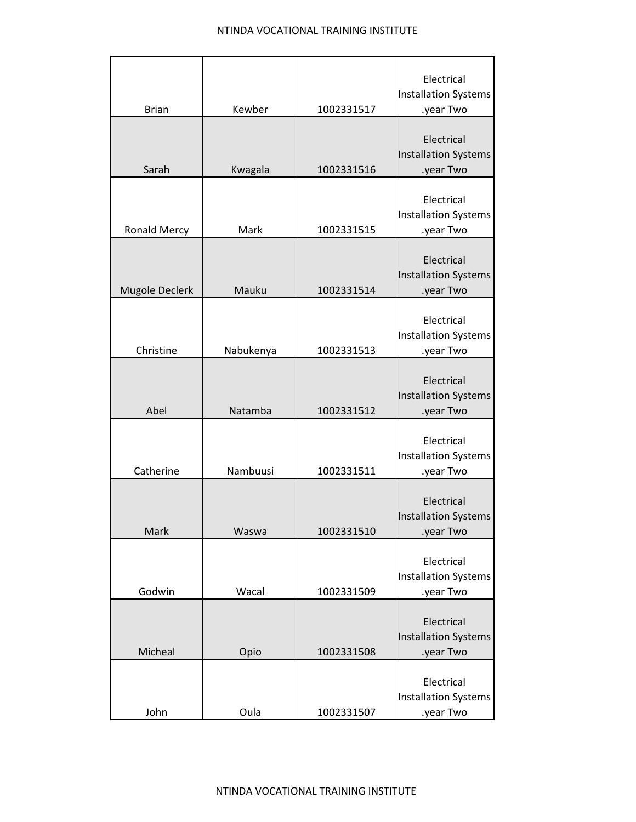|                     |           |            | Electrical<br><b>Installation Systems</b>              |
|---------------------|-----------|------------|--------------------------------------------------------|
| <b>Brian</b>        | Kewber    | 1002331517 | .year Two                                              |
| Sarah               | Kwagala   | 1002331516 | Electrical<br><b>Installation Systems</b><br>.year Two |
| <b>Ronald Mercy</b> | Mark      | 1002331515 | Electrical<br><b>Installation Systems</b><br>.year Two |
| Mugole Declerk      | Mauku     | 1002331514 | Electrical<br><b>Installation Systems</b><br>.year Two |
| Christine           | Nabukenya | 1002331513 | Electrical<br><b>Installation Systems</b><br>.year Two |
| Abel                | Natamba   | 1002331512 | Electrical<br><b>Installation Systems</b><br>.year Two |
| Catherine           | Nambuusi  | 1002331511 | Electrical<br><b>Installation Systems</b><br>.year Two |
| Mark                | Waswa     | 1002331510 | Electrical<br>Installation Systems<br>.year Two        |
| Godwin              | Wacal     | 1002331509 | Electrical<br><b>Installation Systems</b><br>.year Two |
| Micheal             | Opio      | 1002331508 | Electrical<br><b>Installation Systems</b><br>.year Two |
| John                | Oula      | 1002331507 | Electrical<br>Installation Systems<br>.year Two        |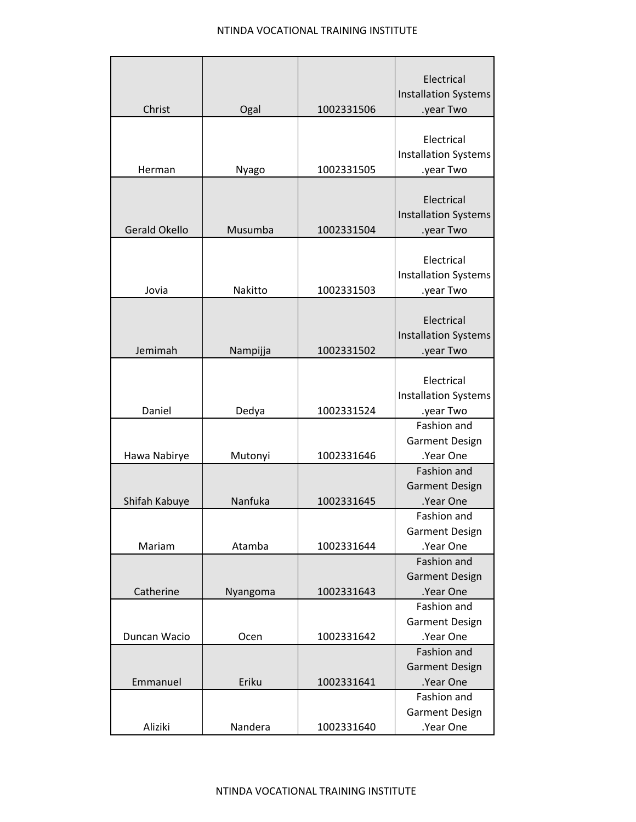| Christ               | Ogal     | 1002331506 | Electrical<br><b>Installation Systems</b><br>.year Two           |
|----------------------|----------|------------|------------------------------------------------------------------|
| Herman               | Nyago    | 1002331505 | Electrical<br><b>Installation Systems</b><br>.year Two           |
| <b>Gerald Okello</b> | Musumba  | 1002331504 | Electrical<br><b>Installation Systems</b><br>.year Two           |
| Jovia                | Nakitto  | 1002331503 | Electrical<br><b>Installation Systems</b><br>.year Two           |
| Jemimah              | Nampijja | 1002331502 | Electrical<br><b>Installation Systems</b><br>.year Two           |
| Daniel               | Dedya    | 1002331524 | Electrical<br><b>Installation Systems</b><br>.year Two           |
| Hawa Nabirye         | Mutonyi  | 1002331646 | Fashion and<br><b>Garment Design</b><br>.Year One<br>Fashion and |
| Shifah Kabuye        | Nanfuka  | 1002331645 | <b>Garment Design</b><br>.Year One<br>Fashion and                |
| Mariam               | Atamba   | 1002331644 | <b>Garment Design</b><br>.Year One<br>Fashion and                |
| Catherine            | Nyangoma | 1002331643 | <b>Garment Design</b><br>.Year One<br>Fashion and                |
| Duncan Wacio         | Ocen     | 1002331642 | <b>Garment Design</b><br>.Year One<br><b>Fashion and</b>         |
| Emmanuel             | Eriku    | 1002331641 | <b>Garment Design</b><br>.Year One                               |
| Aliziki              | Nandera  | 1002331640 | Fashion and<br><b>Garment Design</b><br>.Year One                |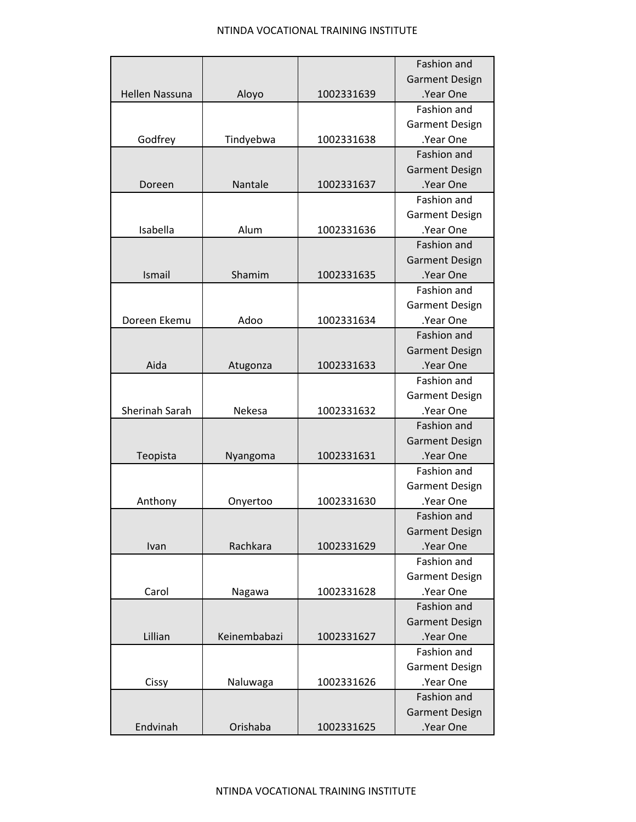|                       |              |            | Fashion and           |
|-----------------------|--------------|------------|-----------------------|
|                       |              |            | <b>Garment Design</b> |
| <b>Hellen Nassuna</b> | Aloyo        | 1002331639 | .Year One             |
|                       |              |            | Fashion and           |
|                       |              |            | <b>Garment Design</b> |
| Godfrey               | Tindyebwa    | 1002331638 | .Year One             |
|                       |              |            | Fashion and           |
|                       |              |            | <b>Garment Design</b> |
| Doreen                | Nantale      | 1002331637 | .Year One             |
|                       |              |            | Fashion and           |
|                       |              |            | <b>Garment Design</b> |
| Isabella              | Alum         | 1002331636 | .Year One             |
|                       |              |            | Fashion and           |
|                       |              |            | <b>Garment Design</b> |
| Ismail                | Shamim       | 1002331635 | .Year One             |
|                       |              |            | Fashion and           |
|                       |              |            | <b>Garment Design</b> |
| Doreen Ekemu          | Adoo         | 1002331634 | .Year One             |
|                       |              |            | Fashion and           |
|                       |              |            | <b>Garment Design</b> |
| Aida                  | Atugonza     | 1002331633 | .Year One             |
|                       |              |            | Fashion and           |
|                       |              |            | <b>Garment Design</b> |
| Sherinah Sarah        | Nekesa       | 1002331632 | .Year One             |
|                       |              |            | Fashion and           |
|                       |              |            | <b>Garment Design</b> |
| Teopista              | Nyangoma     | 1002331631 | .Year One             |
|                       |              |            | Fashion and           |
|                       |              |            | <b>Garment Design</b> |
| Anthony               | Onyertoo     | 1002331630 | .Year One             |
|                       |              |            | <b>Fashion and</b>    |
|                       |              |            | <b>Garment Design</b> |
| Ivan                  | Rachkara     | 1002331629 | .Year One             |
|                       |              |            | Fashion and           |
|                       |              |            | <b>Garment Design</b> |
| Carol                 | Nagawa       | 1002331628 | .Year One             |
|                       |              |            | Fashion and           |
|                       |              |            | <b>Garment Design</b> |
| Lillian               | Keinembabazi | 1002331627 | .Year One             |
|                       |              |            | Fashion and           |
|                       |              |            | <b>Garment Design</b> |
| Cissy                 | Naluwaga     | 1002331626 | .Year One             |
|                       |              |            | Fashion and           |
|                       |              |            | <b>Garment Design</b> |
| Endvinah              | Orishaba     | 1002331625 | .Year One             |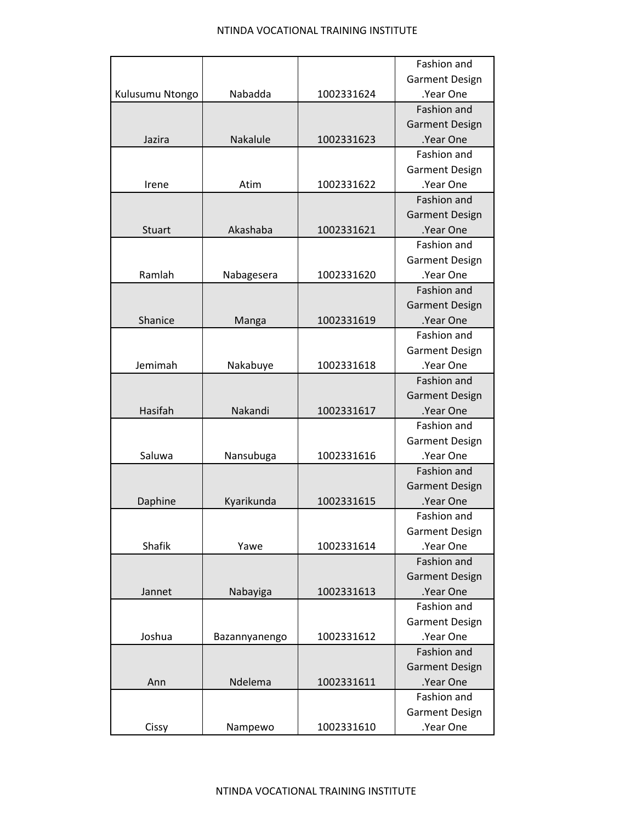|                 |               |            | Fashion and           |
|-----------------|---------------|------------|-----------------------|
|                 |               |            | <b>Garment Design</b> |
| Kulusumu Ntongo | Nabadda       | 1002331624 | .Year One             |
|                 |               |            | <b>Fashion and</b>    |
|                 |               |            | <b>Garment Design</b> |
| Jazira          | Nakalule      | 1002331623 | .Year One             |
|                 |               |            | Fashion and           |
|                 |               |            | <b>Garment Design</b> |
| Irene           | Atim          | 1002331622 | .Year One             |
|                 |               |            | <b>Fashion and</b>    |
|                 |               |            | <b>Garment Design</b> |
| <b>Stuart</b>   | Akashaba      | 1002331621 | .Year One             |
|                 |               |            | Fashion and           |
|                 |               |            | <b>Garment Design</b> |
| Ramlah          | Nabagesera    | 1002331620 | .Year One             |
|                 |               |            | Fashion and           |
|                 |               |            | <b>Garment Design</b> |
| Shanice         | Manga         | 1002331619 | .Year One             |
|                 |               |            | Fashion and           |
|                 |               |            | <b>Garment Design</b> |
| Jemimah         | Nakabuye      | 1002331618 | .Year One             |
|                 |               |            | Fashion and           |
|                 |               |            | <b>Garment Design</b> |
| Hasifah         | Nakandi       | 1002331617 | .Year One             |
|                 |               |            | Fashion and           |
|                 |               |            | <b>Garment Design</b> |
| Saluwa          | Nansubuga     | 1002331616 | .Year One             |
|                 |               |            | Fashion and           |
|                 |               |            | <b>Garment Design</b> |
| Daphine         | Kyarikunda    | 1002331615 | .Year One             |
|                 |               |            | Fashion and           |
|                 |               |            | <b>Garment Design</b> |
| Shafik          | Yawe          | 1002331614 | .Year One             |
|                 |               |            | Fashion and           |
|                 |               |            | <b>Garment Design</b> |
| Jannet          | Nabayiga      | 1002331613 | .Year One             |
|                 |               |            | Fashion and           |
|                 |               |            | <b>Garment Design</b> |
| Joshua          | Bazannyanengo | 1002331612 | .Year One             |
|                 |               |            | Fashion and           |
|                 |               |            | <b>Garment Design</b> |
| Ann             | Ndelema       | 1002331611 | .Year One             |
|                 |               |            | Fashion and           |
|                 |               |            | <b>Garment Design</b> |
| Cissy           | Nampewo       | 1002331610 | .Year One             |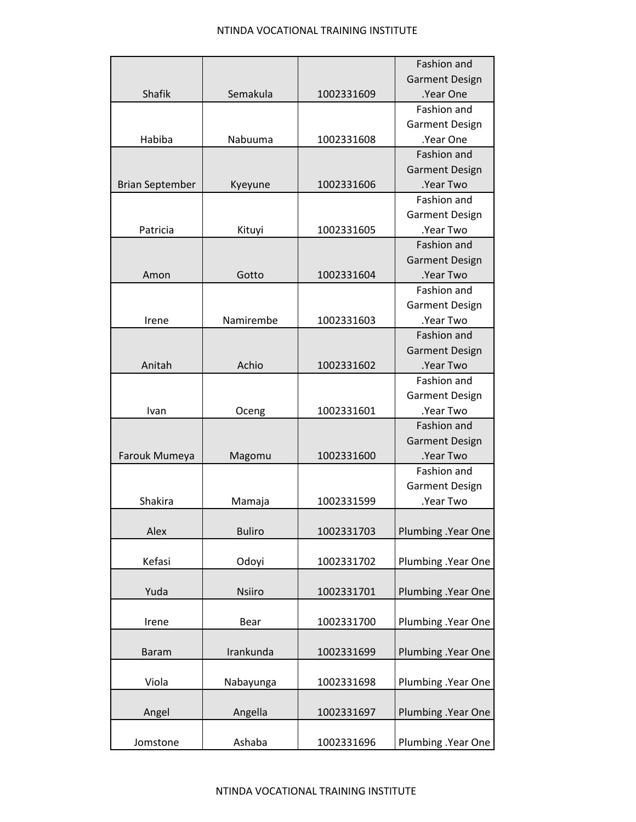|                        |               |            | <b>Fashion and</b>    |
|------------------------|---------------|------------|-----------------------|
|                        |               |            | <b>Garment Design</b> |
| <b>Shafik</b>          | Semakula      | 1002331609 | .Year One             |
|                        |               |            | <b>Fashion and</b>    |
|                        |               |            | <b>Garment Design</b> |
| Habiba                 | Nabuuma       | 1002331608 | .Year One             |
|                        |               |            | Fashion and           |
|                        |               |            | <b>Garment Design</b> |
| <b>Brian September</b> | Kyeyune       | 1002331606 | .Year Two             |
|                        |               |            | Fashion and           |
|                        |               |            | <b>Garment Design</b> |
| Patricia               | Kituyi        | 1002331605 | .Year Two             |
|                        |               |            | Fashion and           |
|                        |               |            | <b>Garment Design</b> |
| Amon                   | Gotto         | 1002331604 | .Year Two             |
|                        |               |            | Fashion and           |
|                        |               |            | <b>Garment Design</b> |
| Irene                  | Namirembe     | 1002331603 | .Year Two             |
|                        |               |            | Fashion and           |
|                        |               |            | <b>Garment Design</b> |
| Anitah                 | Achio         | 1002331602 | .Year Two             |
|                        |               |            | Fashion and           |
|                        |               |            | <b>Garment Design</b> |
| Ivan                   | Oceng         | 1002331601 | .Year Two             |
|                        |               |            | Fashion and           |
|                        |               |            | <b>Garment Design</b> |
| Farouk Mumeya          | Magomu        | 1002331600 | .Year Two             |
|                        |               |            | Fashion and           |
|                        |               |            | <b>Garment Design</b> |
| Shakira                | Mamaja        | 1002331599 | .Year Two             |
|                        |               |            |                       |
| Alex                   | <b>Buliro</b> | 1002331703 | Plumbing .Year One    |
|                        |               |            |                       |
| Kefasi                 | Odoyi         | 1002331702 | Plumbing .Year One    |
|                        |               |            |                       |
| Yuda                   | <b>Nsiiro</b> | 1002331701 | Plumbing . Year One   |
|                        |               |            |                       |
| Irene                  | Bear          | 1002331700 | Plumbing .Year One    |
|                        |               |            |                       |
| <b>Baram</b>           | Irankunda     | 1002331699 | Plumbing . Year One   |
|                        |               |            |                       |
| Viola                  | Nabayunga     | 1002331698 | Plumbing .Year One    |
|                        |               |            |                       |
| Angel                  | Angella       | 1002331697 | Plumbing . Year One   |
|                        |               |            |                       |
| Jomstone               | Ashaba        | 1002331696 | Plumbing .Year One    |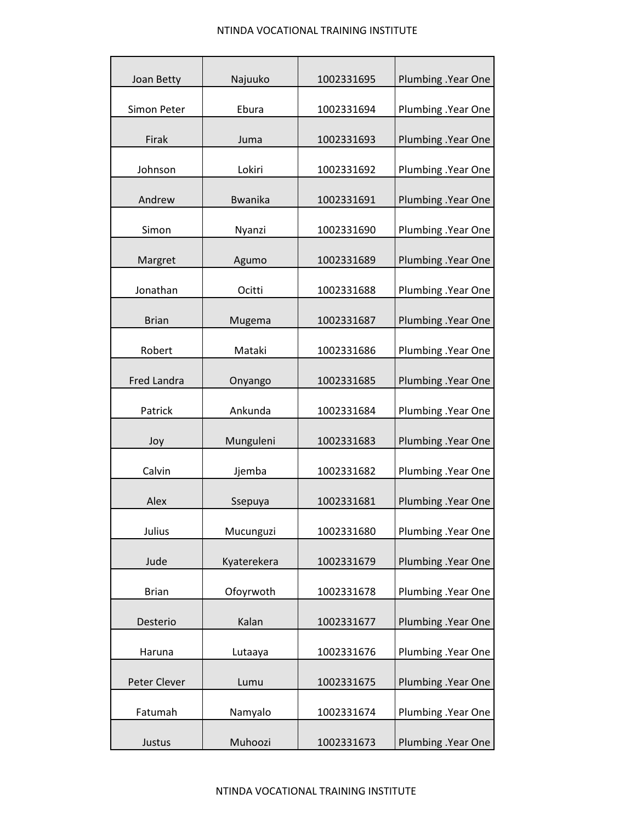| Joan Betty   | Najuuko        | 1002331695 | Plumbing . Year One |
|--------------|----------------|------------|---------------------|
| Simon Peter  | Ebura          | 1002331694 | Plumbing .Year One  |
| Firak        | Juma           | 1002331693 | Plumbing .Year One  |
| Johnson      | Lokiri         | 1002331692 | Plumbing .Year One  |
| Andrew       | <b>Bwanika</b> | 1002331691 | Plumbing .Year One  |
| Simon        | Nyanzi         | 1002331690 | Plumbing .Year One  |
| Margret      | Agumo          | 1002331689 | Plumbing . Year One |
| Jonathan     | Ocitti         | 1002331688 | Plumbing .Year One  |
| <b>Brian</b> | Mugema         | 1002331687 | Plumbing .Year One  |
| Robert       | Mataki         | 1002331686 | Plumbing .Year One  |
| Fred Landra  | Onyango        | 1002331685 | Plumbing .Year One  |
| Patrick      | Ankunda        | 1002331684 | Plumbing .Year One  |
| Joy          | Munguleni      | 1002331683 | Plumbing .Year One  |
| Calvin       | Jjemba         | 1002331682 | Plumbing . Year One |
| Alex         | Ssepuya        | 1002331681 | Plumbing .Year One  |
| Julius       | Mucunguzi      | 1002331680 | Plumbing .Year One  |
| Jude         | Kyaterekera    | 1002331679 | Plumbing .Year One  |
| <b>Brian</b> | Ofoyrwoth      | 1002331678 | Plumbing .Year One  |
| Desterio     | Kalan          | 1002331677 | Plumbing .Year One  |
| Haruna       | Lutaaya        | 1002331676 | Plumbing .Year One  |
| Peter Clever | Lumu           | 1002331675 | Plumbing .Year One  |
| Fatumah      | Namyalo        | 1002331674 | Plumbing .Year One  |
| Justus       | Muhoozi        | 1002331673 | Plumbing .Year One  |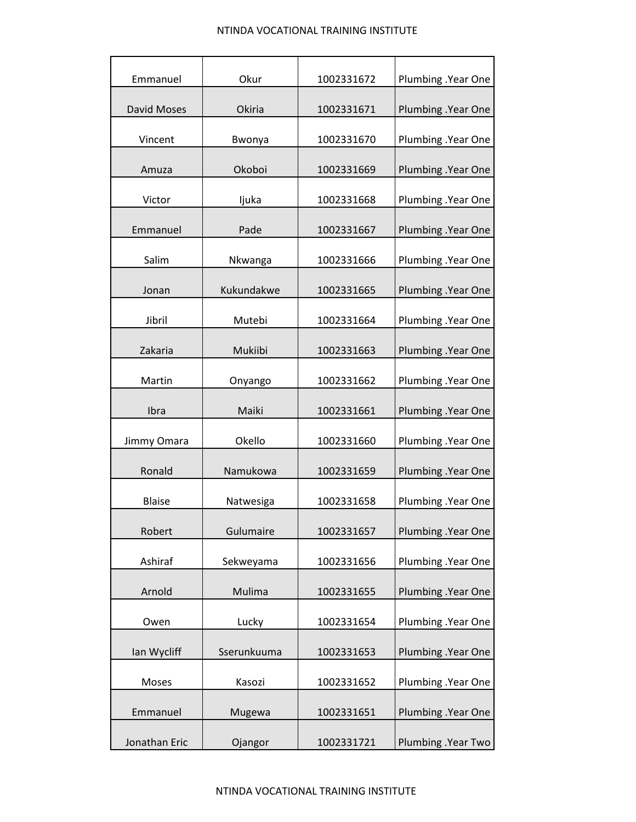| Emmanuel           | Okur        | 1002331672 | Plumbing .Year One  |
|--------------------|-------------|------------|---------------------|
| <b>David Moses</b> | Okiria      | 1002331671 | Plumbing .Year One  |
| Vincent            | Bwonya      | 1002331670 | Plumbing .Year One  |
| Amuza              | Okoboi      | 1002331669 | Plumbing .Year One  |
|                    |             |            |                     |
| Victor             | ljuka       | 1002331668 | Plumbing .Year One  |
| Emmanuel           | Pade        | 1002331667 | Plumbing .Year One  |
| Salim              | Nkwanga     | 1002331666 | Plumbing .Year One  |
| Jonan              | Kukundakwe  | 1002331665 | Plumbing .Year One  |
| Jibril             | Mutebi      | 1002331664 | Plumbing .Year One  |
| Zakaria            | Mukiibi     | 1002331663 | Plumbing .Year One  |
| Martin             | Onyango     | 1002331662 | Plumbing . Year One |
| Ibra               | Maiki       | 1002331661 | Plumbing .Year One  |
| Jimmy Omara        | Okello      | 1002331660 | Plumbing .Year One  |
| Ronald             | Namukowa    | 1002331659 | Plumbing . Year One |
| <b>Blaise</b>      | Natwesiga   | 1002331658 | Plumbing .Year One  |
| Robert             | Gulumaire   | 1002331657 | Plumbing .Year One  |
| Ashiraf            | Sekweyama   | 1002331656 | Plumbing .Year One  |
| Arnold             | Mulima      | 1002331655 | Plumbing .Year One  |
| Owen               | Lucky       | 1002331654 | Plumbing .Year One  |
| Ian Wycliff        | Sserunkuuma | 1002331653 | Plumbing .Year One  |
| Moses              | Kasozi      | 1002331652 | Plumbing .Year One  |
| Emmanuel           | Mugewa      | 1002331651 | Plumbing .Year One  |
| Jonathan Eric      | Ojangor     | 1002331721 | Plumbing .Year Two  |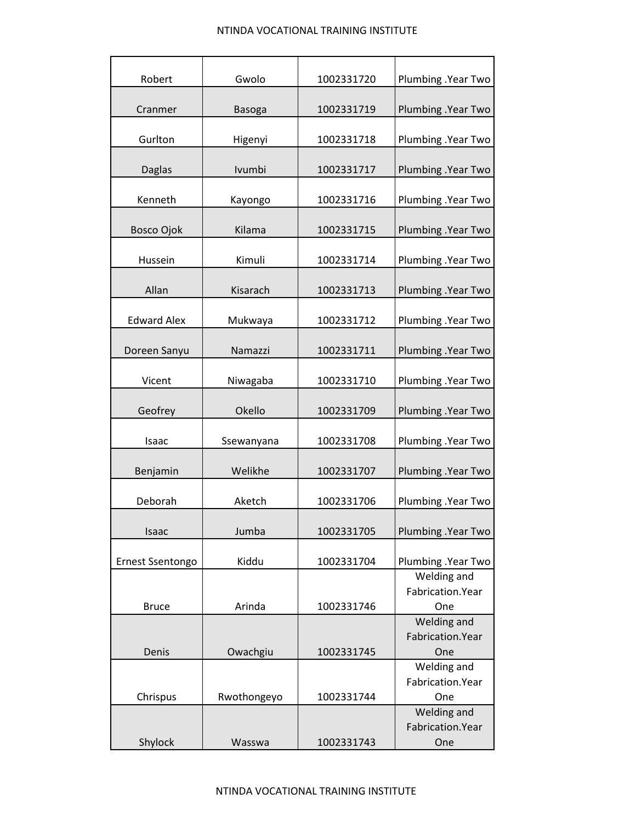| Robert                  | Gwolo         | 1002331720 | Plumbing .Year Two                      |
|-------------------------|---------------|------------|-----------------------------------------|
| Cranmer                 | <b>Basoga</b> | 1002331719 | Plumbing .Year Two                      |
| Gurlton                 | Higenyi       | 1002331718 | Plumbing .Year Two                      |
| <b>Daglas</b>           | Ivumbi        | 1002331717 | Plumbing .Year Two                      |
| Kenneth                 | Kayongo       | 1002331716 | Plumbing .Year Two                      |
| Bosco Ojok              | Kilama        | 1002331715 | Plumbing .Year Two                      |
| Hussein                 | Kimuli        | 1002331714 | Plumbing .Year Two                      |
| Allan                   | Kisarach      | 1002331713 | Plumbing .Year Two                      |
| <b>Edward Alex</b>      | Mukwaya       | 1002331712 | Plumbing .Year Two                      |
| Doreen Sanyu            | Namazzi       | 1002331711 | Plumbing .Year Two                      |
| Vicent                  | Niwagaba      | 1002331710 | Plumbing .Year Two                      |
| Geofrey                 | Okello        | 1002331709 | Plumbing .Year Two                      |
| Isaac                   | Ssewanyana    | 1002331708 | Plumbing .Year Two                      |
| Benjamin                | Welikhe       | 1002331707 | Plumbing .Year Two                      |
| Deborah                 | Aketch        | 1002331706 | Plumbing .Year Two                      |
| Isaac                   | Jumba         | 1002331705 | Plumbing .Year Two                      |
| <b>Ernest Ssentongo</b> | Kiddu         | 1002331704 | Plumbing .Year Two                      |
| <b>Bruce</b>            | Arinda        | 1002331746 | Welding and<br>Fabrication. Year<br>One |
| Denis                   | Owachgiu      | 1002331745 | Welding and<br>Fabrication. Year<br>One |
| Chrispus                | Rwothongeyo   | 1002331744 | Welding and<br>Fabrication. Year<br>One |
| Shylock                 | Wasswa        | 1002331743 | Welding and<br>Fabrication. Year<br>One |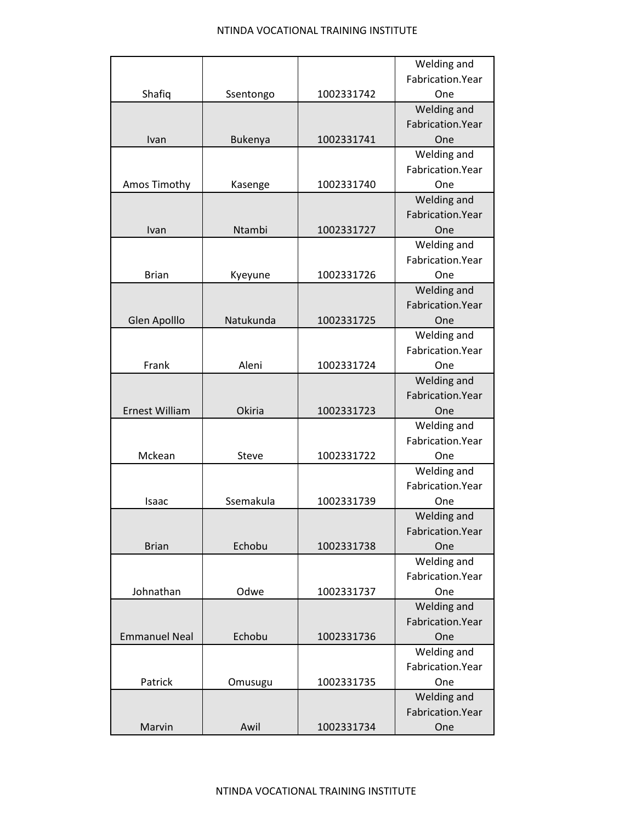|                       |                |            | Welding and       |
|-----------------------|----------------|------------|-------------------|
|                       |                |            | Fabrication.Year  |
| Shafiq                | Ssentongo      | 1002331742 | One               |
|                       |                |            | Welding and       |
|                       |                |            | Fabrication.Year  |
| Ivan                  | <b>Bukenya</b> | 1002331741 | One               |
|                       |                |            | Welding and       |
|                       |                |            | Fabrication. Year |
| Amos Timothy          | Kasenge        | 1002331740 | One               |
|                       |                |            | Welding and       |
|                       |                |            | Fabrication.Year  |
| Ivan                  | Ntambi         | 1002331727 | One               |
|                       |                |            | Welding and       |
|                       |                |            | Fabrication.Year  |
| <b>Brian</b>          | Kyeyune        | 1002331726 | One               |
|                       |                |            | Welding and       |
|                       |                |            | Fabrication.Year  |
| Glen Apolllo          | Natukunda      | 1002331725 | One               |
|                       |                |            | Welding and       |
|                       |                |            | Fabrication. Year |
| Frank                 | Aleni          | 1002331724 | One               |
|                       |                |            | Welding and       |
|                       |                |            | Fabrication.Year  |
| <b>Ernest William</b> | Okiria         | 1002331723 | One               |
|                       |                |            | Welding and       |
|                       |                |            | Fabrication. Year |
| Mckean                | Steve          | 1002331722 | One               |
|                       |                |            | Welding and       |
|                       |                |            | Fabrication.Year  |
| Isaac                 | Ssemakula      | 1002331739 | One               |
|                       |                |            | Welding and       |
|                       |                |            | Fabrication.Year  |
| <b>Brian</b>          | Echobu         | 1002331738 | One               |
|                       |                |            | Welding and       |
|                       |                |            | Fabrication. Year |
| Johnathan             | Odwe           | 1002331737 | One               |
|                       |                |            | Welding and       |
|                       |                |            | Fabrication.Year  |
| <b>Emmanuel Neal</b>  | Echobu         | 1002331736 | One               |
|                       |                |            | Welding and       |
|                       |                |            | Fabrication. Year |
| Patrick               | Omusugu        | 1002331735 | One               |
|                       |                |            | Welding and       |
|                       |                |            | Fabrication. Year |
| Marvin                | Awil           | 1002331734 | One               |